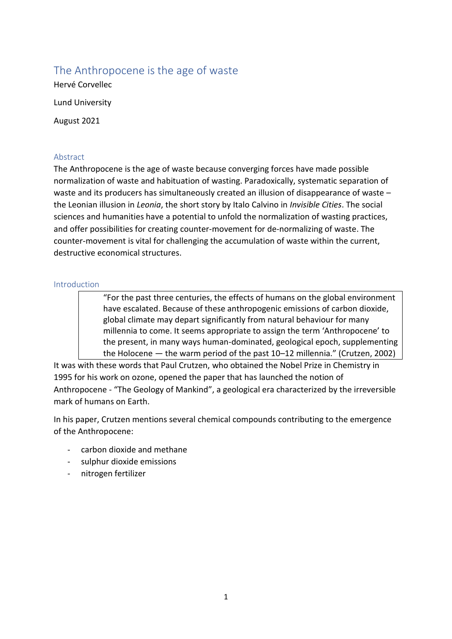# The Anthropocene is the age of waste

Hervé Corvellec Lund University August 2021

# Abstract

The Anthropocene is the age of waste because converging forces have made possible normalization of waste and habituation of wasting. Paradoxically, systematic separation of waste and its producers has simultaneously created an illusion of disappearance of waste the Leonian illusion in *Leonia*, the short story by Italo Calvino in *Invisible Cities*. The social sciences and humanities have a potential to unfold the normalization of wasting practices, and offer possibilities for creating counter-movement for de-normalizing of waste. The counter-movement is vital for challenging the accumulation of waste within the current, destructive economical structures.

## Introduction

"For the past three centuries, the effects of humans on the global environment have escalated. Because of these anthropogenic emissions of carbon dioxide, global climate may depart significantly from natural behaviour for many millennia to come. It seems appropriate to assign the term 'Anthropocene' to the present, in many ways human-dominated, geological epoch, supplementing the Holocene — the warm period of the past 10–12 millennia." (Crutzen, 2002)

It was with these words that Paul Crutzen, who obtained the Nobel Prize in Chemistry in 1995 for his work on ozone, opened the paper that has launched the notion of Anthropocene - "The Geology of Mankind", a geological era characterized by the irreversible mark of humans on Earth.

In his paper, Crutzen mentions several chemical compounds contributing to the emergence of the Anthropocene:

- carbon dioxide and methane
- sulphur dioxide emissions
- nitrogen fertilizer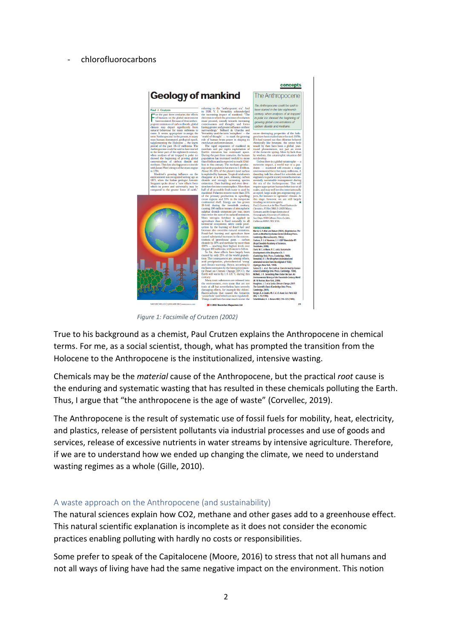#### - chlorofluorocarbons



*Figure 1: Facsimile of Crutzen (2002)*

True to his background as a chemist, Paul Crutzen explains the Anthropocene in chemical terms. For me, as a social scientist, though, what has prompted the transition from the Holocene to the Anthropocene is the institutionalized, intensive wasting.

Chemicals may be the *material* cause of the Anthropocene, but the practical *root* cause is the enduring and systematic wasting that has resulted in these chemicals polluting the Earth. Thus, I argue that "the anthropocene is the age of waste" (Corvellec, 2019).

The Anthropocene is the result of systematic use of fossil fuels for mobility, heat, electricity, and plastics, release of persistent pollutants via industrial processes and use of goods and services, release of excessive nutrients in water streams by intensive agriculture. Therefore, if we are to understand how we ended up changing the climate, we need to understand wasting regimes as a whole (Gille, 2010).

## A waste approach on the Anthropocene (and sustainability)

The natural sciences explain how CO2, methane and other gases add to a greenhouse effect. This natural scientific explanation is incomplete as it does not consider the economic practices enabling polluting with hardly no costs or responsibilities.

Some prefer to speak of the Capitalocene (Moore, 2016) to stress that not all humans and not all ways of living have had the same negative impact on the environment. This notion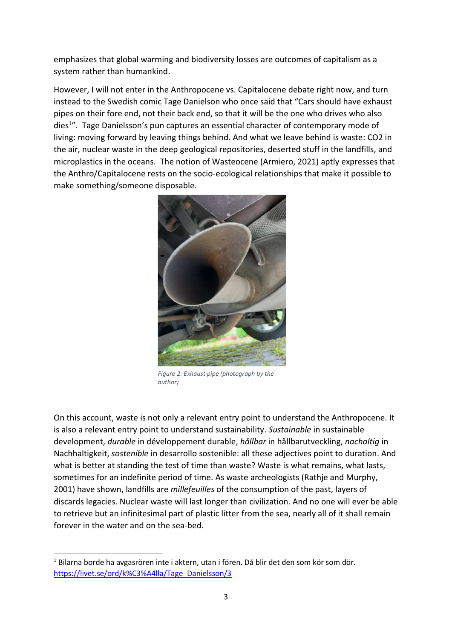emphasizes that global warming and biodiversity losses are outcomes of capitalism as a system rather than humankind.

However, I will not enter in the Anthropocene vs. Capitalocene debate right now, and turn instead to the Swedish comic Tage Danielson who once said that "Cars should have exhaust pipes on their fore end, not their back end, so that it will be the one who drives who also dies<sup>1</sup>". Tage Danielsson's pun captures an essential character of contemporary mode of living: moving forward by leaving things behind. And what we leave behind is waste: CO2 in the air, nuclear waste in the deep geological repositories, deserted stuff in the landfills, and microplastics in the oceans. The notion of Wasteocene (Armiero, 2021) aptly expresses that the Anthro/Capitalocene rests on the socio-ecological relationships that make it possible to make something/someone disposable.



*Figure 2: Exhaust pipe (photograph by the author)*

On this account, waste is not only a relevant entry point to understand the Anthropocene. It is also a relevant entry point to understand sustainability. *Sustainable* in sustainable development, *durable* in développement durable, *hållbar* in hållbarutveckling, *nachaltig* in Nachhaltigkeit, *sostenible* in desarrollo sostenible: all these adjectives point to duration. And what is better at standing the test of time than waste? Waste is what remains, what lasts, sometimes for an indefinite period of time. As waste archeologists (Rathje and Murphy, 2001) have shown, landfills are *millefeuilles* of the consumption of the past, layers of discards legacies. Nuclear waste will last longer than civilization. And no one will ever be able to retrieve but an infinitesimal part of plastic litter from the sea, nearly all of it shall remain forever in the water and on the sea-bed.

**.** 

 $1$  Bilarna borde ha avgasrören inte i aktern, utan i fören. Då blir det den som kör som dör. [https://livet.se/ord/k%C3%A4lla/Tage\\_Danielsson/3](https://livet.se/ord/k%C3%A4lla/Tage_Danielsson/3)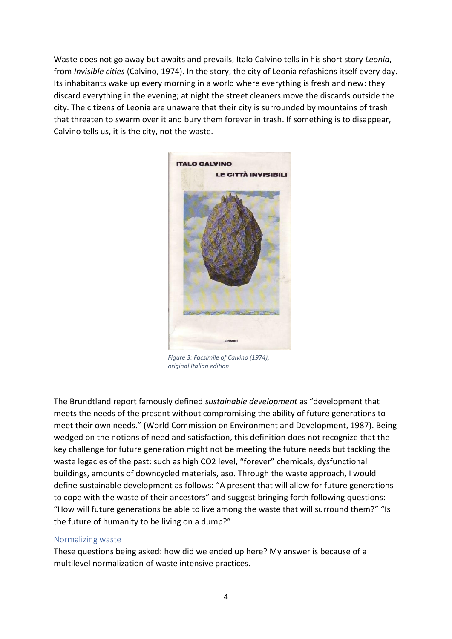Waste does not go away but awaits and prevails, Italo Calvino tells in his short story *Leonia*, from *Invisible cities* (Calvino, 1974). In the story, the city of Leonia refashions itself every day. Its inhabitants wake up every morning in a world where everything is fresh and new: they discard everything in the evening; at night the street cleaners move the discards outside the city. The citizens of Leonia are unaware that their city is surrounded by mountains of trash that threaten to swarm over it and bury them forever in trash. If something is to disappear, Calvino tells us, it is the city, not the waste.



*Figure 3: Facsimile of Calvino (1974), original Italian edition*

The Brundtland report famously defined *sustainable development* as "development that meets the needs of the present without compromising the ability of future generations to meet their own needs." (World Commission on Environment and Development, 1987). Being wedged on the notions of need and satisfaction, this definition does not recognize that the key challenge for future generation might not be meeting the future needs but tackling the waste legacies of the past: such as high CO2 level, "forever" chemicals, dysfunctional buildings, amounts of downcycled materials, aso. Through the waste approach, I would define sustainable development as follows: "A present that will allow for future generations to cope with the waste of their ancestors" and suggest bringing forth following questions: "How will future generations be able to live among the waste that will surround them?" "Is the future of humanity to be living on a dump?"

## Normalizing waste

These questions being asked: how did we ended up here? My answer is because of a multilevel normalization of waste intensive practices.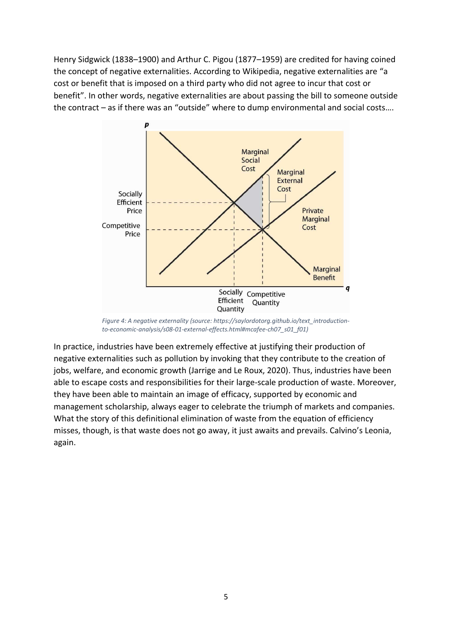Henry Sidgwick (1838–1900) and Arthur C. Pigou (1877–1959) are credited for having coined the concept of negative externalities. According to Wikipedia, negative externalities are "a cost or benefit that is imposed on a third party who did not agree to incur that cost or benefit". In other words, negative externalities are about passing the bill to someone outside the contract – as if there was an "outside" where to dump environmental and social costs….



*Figure 4: A negative externality (source: https://saylordotorg.github.io/text\_introductionto-economic-analysis/s08-01-external-effects.html#mcafee-ch07\_s01\_f01)*

In practice, industries have been extremely effective at justifying their production of negative externalities such as pollution by invoking that they contribute to the creation of jobs, welfare, and economic growth (Jarrige and Le Roux, 2020). Thus, industries have been able to escape costs and responsibilities for their large-scale production of waste. Moreover, they have been able to maintain an image of efficacy, supported by economic and management scholarship, always eager to celebrate the triumph of markets and companies. What the story of this definitional elimination of waste from the equation of efficiency misses, though, is that waste does not go away, it just awaits and prevails. Calvino's Leonia, again.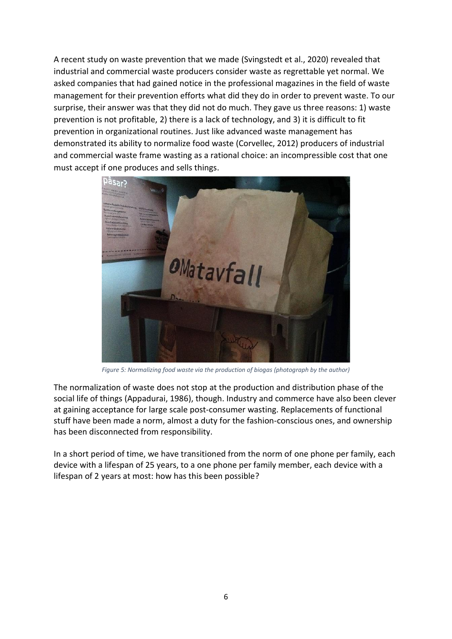A recent study on waste prevention that we made (Svingstedt et al., 2020) revealed that industrial and commercial waste producers consider waste as regrettable yet normal. We asked companies that had gained notice in the professional magazines in the field of waste management for their prevention efforts what did they do in order to prevent waste. To our surprise, their answer was that they did not do much. They gave us three reasons: 1) waste prevention is not profitable, 2) there is a lack of technology, and 3) it is difficult to fit prevention in organizational routines. Just like advanced waste management has demonstrated its ability to normalize food waste (Corvellec, 2012) producers of industrial and commercial waste frame wasting as a rational choice: an incompressible cost that one must accept if one produces and sells things.



*Figure 5: Normalizing food waste via the production of biogas (photograph by the author)*

The normalization of waste does not stop at the production and distribution phase of the social life of things (Appadurai, 1986), though. Industry and commerce have also been clever at gaining acceptance for large scale post-consumer wasting. Replacements of functional stuff have been made a norm, almost a duty for the fashion-conscious ones, and ownership has been disconnected from responsibility.

In a short period of time, we have transitioned from the norm of one phone per family, each device with a lifespan of 25 years, to a one phone per family member, each device with a lifespan of 2 years at most: how has this been possible?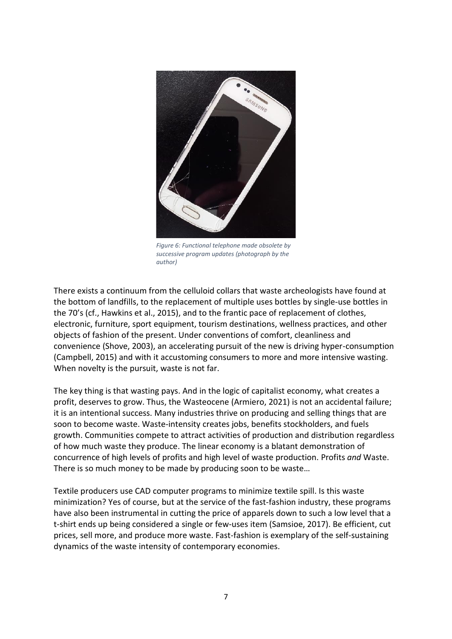

*Figure 6: Functional telephone made obsolete by successive program updates (photograph by the author)*

There exists a continuum from the celluloid collars that waste archeologists have found at the bottom of landfills, to the replacement of multiple uses bottles by single-use bottles in the 70's (cf., Hawkins et al., 2015), and to the frantic pace of replacement of clothes, electronic, furniture, sport equipment, tourism destinations, wellness practices, and other objects of fashion of the present. Under conventions of comfort, cleanliness and convenience (Shove, 2003), an accelerating pursuit of the new is driving hyper-consumption (Campbell, 2015) and with it accustoming consumers to more and more intensive wasting. When novelty is the pursuit, waste is not far.

The key thing is that wasting pays. And in the logic of capitalist economy, what creates a profit, deserves to grow. Thus, the Wasteocene (Armiero, 2021) is not an accidental failure; it is an intentional success. Many industries thrive on producing and selling things that are soon to become waste. Waste-intensity creates jobs, benefits stockholders, and fuels growth. Communities compete to attract activities of production and distribution regardless of how much waste they produce. The linear economy is a blatant demonstration of concurrence of high levels of profits and high level of waste production. Profits *and* Waste. There is so much money to be made by producing soon to be waste…

Textile producers use CAD computer programs to minimize textile spill. Is this waste minimization? Yes of course, but at the service of the fast-fashion industry, these programs have also been instrumental in cutting the price of apparels down to such a low level that a t-shirt ends up being considered a single or few-uses item (Samsioe, 2017). Be efficient, cut prices, sell more, and produce more waste. Fast-fashion is exemplary of the self-sustaining dynamics of the waste intensity of contemporary economies.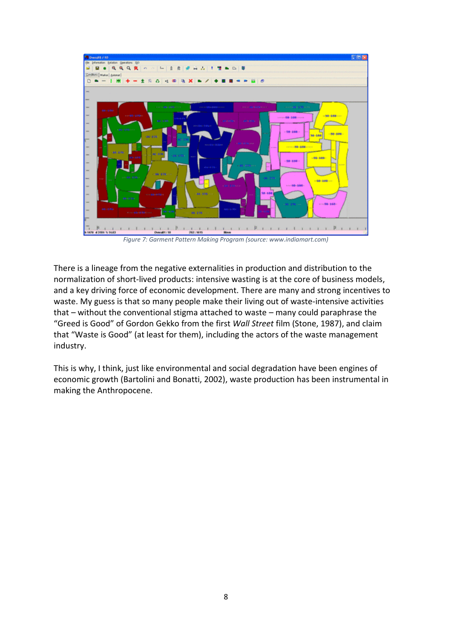

*Figure 7: Garment Pattern Making Program (source: www.indiamart.com)*

There is a lineage from the negative externalities in production and distribution to the normalization of short-lived products: intensive wasting is at the core of business models, and a key driving force of economic development. There are many and strong incentives to waste. My guess is that so many people make their living out of waste-intensive activities that – without the conventional stigma attached to waste – many could paraphrase the "Greed is Good" of Gordon Gekko from the first *Wall Street* film (Stone, 1987), and claim that "Waste is Good" (at least for them), including the actors of the waste management industry.

This is why, I think, just like environmental and social degradation have been engines of economic growth (Bartolini and Bonatti, 2002), waste production has been instrumental in making the Anthropocene.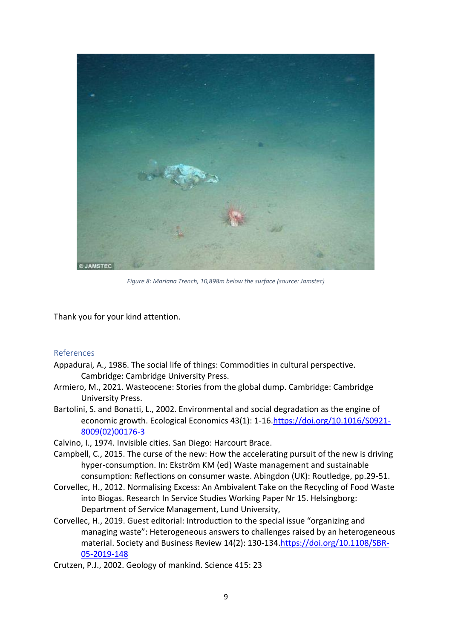

*Figure 8: Mariana Trench, 10,898m below the surface (source: Jamstec)*

Thank you for your kind attention.

## References

- Appadurai, A., 1986. The social life of things: Commodities in cultural perspective. Cambridge: Cambridge University Press.
- Armiero, M., 2021. Wasteocene: Stories from the global dump. Cambridge: Cambridge University Press.
- Bartolini, S. and Bonatti, L., 2002. Environmental and social degradation as the engine of economic growth. Ecological Economics 43(1): 1-16[.https://doi.org/10.1016/S0921-](https://doi.org/10.1016/S0921-8009(02)00176-3) [8009\(02\)00176-3](https://doi.org/10.1016/S0921-8009(02)00176-3)

Calvino, I., 1974. Invisible cities. San Diego: Harcourt Brace.

- Campbell, C., 2015. The curse of the new: How the accelerating pursuit of the new is driving hyper-consumption. In: Ekström KM (ed) Waste management and sustainable consumption: Reflections on consumer waste. Abingdon (UK): Routledge, pp.29-51.
- Corvellec, H., 2012. Normalising Excess: An Ambivalent Take on the Recycling of Food Waste into Biogas. Research In Service Studies Working Paper Nr 15. Helsingborg: Department of Service Management, Lund University,
- Corvellec, H., 2019. Guest editorial: Introduction to the special issue "organizing and managing waste": Heterogeneous answers to challenges raised by an heterogeneous material. Society and Business Review 14(2): 130-134[.https://doi.org/10.1108/SBR-](https://doi.org/10.1108/SBR-05-2019-148)[05-2019-148](https://doi.org/10.1108/SBR-05-2019-148)

Crutzen, P.J., 2002. Geology of mankind. Science 415: 23